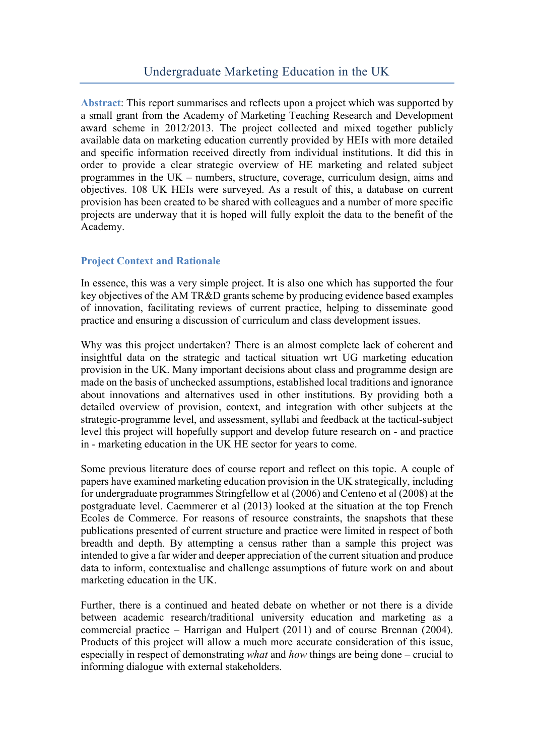**Abstract**: This report summarises and reflects upon a project which was supported by a small grant from the Academy of Marketing Teaching Research and Development award scheme in 2012/2013. The project collected and mixed together publicly available data on marketing education currently provided by HEIs with more detailed and specific information received directly from individual institutions. It did this in order to provide a clear strategic overview of HE marketing and related subject programmes in the UK – numbers, structure, coverage, curriculum design, aims and objectives. 108 UK HEIs were surveyed. As a result of this, a database on current provision has been created to be shared with colleagues and a number of more specific projects are underway that it is hoped will fully exploit the data to the benefit of the Academy.

# **Project Context and Rationale**

In essence, this was a very simple project. It is also one which has supported the four key objectives of the AM TR&D grants scheme by producing evidence based examples of innovation, facilitating reviews of current practice, helping to disseminate good practice and ensuring a discussion of curriculum and class development issues.

Why was this project undertaken? There is an almost complete lack of coherent and insightful data on the strategic and tactical situation wrt UG marketing education provision in the UK. Many important decisions about class and programme design are made on the basis of unchecked assumptions, established local traditions and ignorance about innovations and alternatives used in other institutions. By providing both a detailed overview of provision, context, and integration with other subjects at the strategic-programme level, and assessment, syllabi and feedback at the tactical-subject level this project will hopefully support and develop future research on - and practice in - marketing education in the UK HE sector for years to come.

Some previous literature does of course report and reflect on this topic. A couple of papers have examined marketing education provision in the UK strategically, including for undergraduate programmes Stringfellow et al (2006) and Centeno et al (2008) at the postgraduate level. Caemmerer et al (2013) looked at the situation at the top French Ecoles de Commerce. For reasons of resource constraints, the snapshots that these publications presented of current structure and practice were limited in respect of both breadth and depth. By attempting a census rather than a sample this project was intended to give a far wider and deeper appreciation of the current situation and produce data to inform, contextualise and challenge assumptions of future work on and about marketing education in the UK.

Further, there is a continued and heated debate on whether or not there is a divide between academic research/traditional university education and marketing as a commercial practice – Harrigan and Hulpert (2011) and of course Brennan (2004). Products of this project will allow a much more accurate consideration of this issue, especially in respect of demonstrating *what* and *how* things are being done – crucial to informing dialogue with external stakeholders.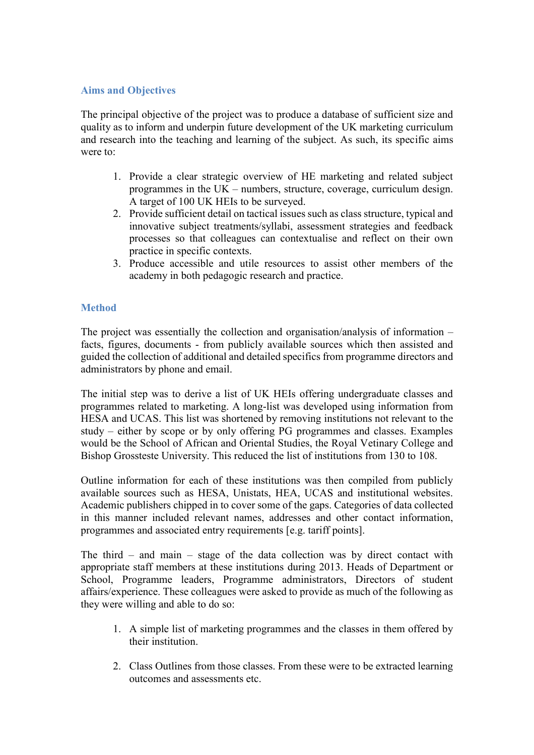## **Aims and Objectives**

The principal objective of the project was to produce a database of sufficient size and quality as to inform and underpin future development of the UK marketing curriculum and research into the teaching and learning of the subject. As such, its specific aims were to:

- 1. Provide a clear strategic overview of HE marketing and related subject programmes in the UK – numbers, structure, coverage, curriculum design. A target of 100 UK HEIs to be surveyed.
- 2. Provide sufficient detail on tactical issues such as class structure, typical and innovative subject treatments/syllabi, assessment strategies and feedback processes so that colleagues can contextualise and reflect on their own practice in specific contexts.
- 3. Produce accessible and utile resources to assist other members of the academy in both pedagogic research and practice.

# **Method**

The project was essentially the collection and organisation/analysis of information – facts, figures, documents - from publicly available sources which then assisted and guided the collection of additional and detailed specifics from programme directors and administrators by phone and email.

The initial step was to derive a list of UK HEIs offering undergraduate classes and programmes related to marketing. A long-list was developed using information from HESA and UCAS. This list was shortened by removing institutions not relevant to the study – either by scope or by only offering PG programmes and classes. Examples would be the School of African and Oriental Studies, the Royal Vetinary College and Bishop Grossteste University. This reduced the list of institutions from 130 to 108.

Outline information for each of these institutions was then compiled from publicly available sources such as HESA, Unistats, HEA, UCAS and institutional websites. Academic publishers chipped in to cover some of the gaps. Categories of data collected in this manner included relevant names, addresses and other contact information, programmes and associated entry requirements [e.g. tariff points].

The third – and main – stage of the data collection was by direct contact with appropriate staff members at these institutions during 2013. Heads of Department or School, Programme leaders, Programme administrators, Directors of student affairs/experience. These colleagues were asked to provide as much of the following as they were willing and able to do so:

- 1. A simple list of marketing programmes and the classes in them offered by their institution.
- 2. Class Outlines from those classes. From these were to be extracted learning outcomes and assessments etc.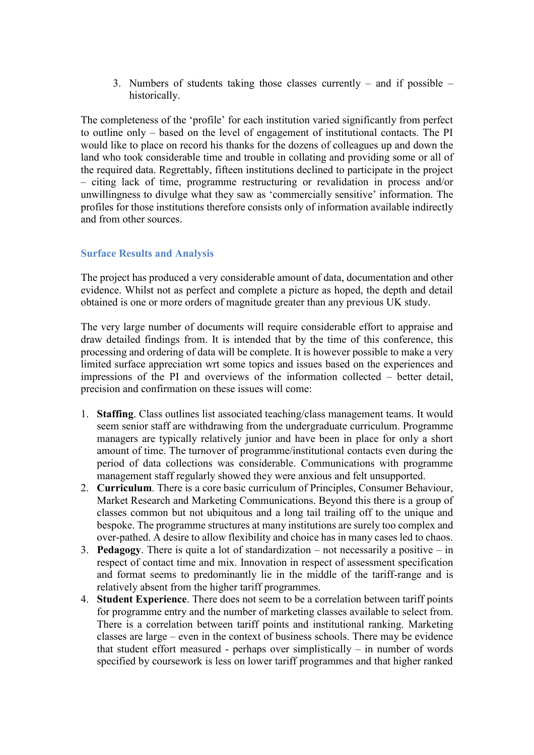3. Numbers of students taking those classes currently – and if possible – historically.

The completeness of the 'profile' for each institution varied significantly from perfect to outline only – based on the level of engagement of institutional contacts. The PI would like to place on record his thanks for the dozens of colleagues up and down the land who took considerable time and trouble in collating and providing some or all of the required data. Regrettably, fifteen institutions declined to participate in the project – citing lack of time, programme restructuring or revalidation in process and/or unwillingness to divulge what they saw as 'commercially sensitive' information. The profiles for those institutions therefore consists only of information available indirectly and from other sources.

### **Surface Results and Analysis**

The project has produced a very considerable amount of data, documentation and other evidence. Whilst not as perfect and complete a picture as hoped, the depth and detail obtained is one or more orders of magnitude greater than any previous UK study.

The very large number of documents will require considerable effort to appraise and draw detailed findings from. It is intended that by the time of this conference, this processing and ordering of data will be complete. It is however possible to make a very limited surface appreciation wrt some topics and issues based on the experiences and impressions of the PI and overviews of the information collected – better detail, precision and confirmation on these issues will come:

- 1. **Staffing**. Class outlines list associated teaching/class management teams. It would seem senior staff are withdrawing from the undergraduate curriculum. Programme managers are typically relatively junior and have been in place for only a short amount of time. The turnover of programme/institutional contacts even during the period of data collections was considerable. Communications with programme management staff regularly showed they were anxious and felt unsupported.
- 2. **Curriculum**. There is a core basic curriculum of Principles, Consumer Behaviour, Market Research and Marketing Communications. Beyond this there is a group of classes common but not ubiquitous and a long tail trailing off to the unique and bespoke. The programme structures at many institutions are surely too complex and over-pathed. A desire to allow flexibility and choice has in many cases led to chaos.
- 3. **Pedagogy**. There is quite a lot of standardization not necessarily a positive in respect of contact time and mix. Innovation in respect of assessment specification and format seems to predominantly lie in the middle of the tariff-range and is relatively absent from the higher tariff programmes.
- 4. **Student Experience**. There does not seem to be a correlation between tariff points for programme entry and the number of marketing classes available to select from. There is a correlation between tariff points and institutional ranking. Marketing classes are large – even in the context of business schools. There may be evidence that student effort measured - perhaps over simplistically – in number of words specified by coursework is less on lower tariff programmes and that higher ranked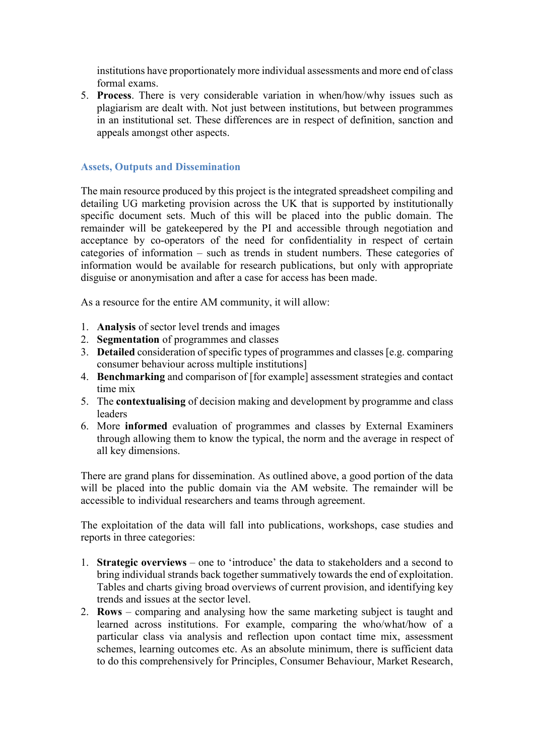institutions have proportionately more individual assessments and more end of class formal exams.

5. **Process**. There is very considerable variation in when/how/why issues such as plagiarism are dealt with. Not just between institutions, but between programmes in an institutional set. These differences are in respect of definition, sanction and appeals amongst other aspects.

## **Assets, Outputs and Dissemination**

The main resource produced by this project is the integrated spreadsheet compiling and detailing UG marketing provision across the UK that is supported by institutionally specific document sets. Much of this will be placed into the public domain. The remainder will be gatekeepered by the PI and accessible through negotiation and acceptance by co-operators of the need for confidentiality in respect of certain categories of information – such as trends in student numbers. These categories of information would be available for research publications, but only with appropriate disguise or anonymisation and after a case for access has been made.

As a resource for the entire AM community, it will allow:

- 1. **Analysis** of sector level trends and images
- 2. **Segmentation** of programmes and classes
- 3. **Detailed** consideration of specific types of programmes and classes [e.g. comparing consumer behaviour across multiple institutions]
- 4. **Benchmarking** and comparison of [for example] assessment strategies and contact time mix
- 5. The **contextualising** of decision making and development by programme and class leaders
- 6. More **informed** evaluation of programmes and classes by External Examiners through allowing them to know the typical, the norm and the average in respect of all key dimensions.

There are grand plans for dissemination. As outlined above, a good portion of the data will be placed into the public domain via the AM website. The remainder will be accessible to individual researchers and teams through agreement.

The exploitation of the data will fall into publications, workshops, case studies and reports in three categories:

- 1. **Strategic overviews** one to 'introduce' the data to stakeholders and a second to bring individual strands back together summatively towards the end of exploitation. Tables and charts giving broad overviews of current provision, and identifying key trends and issues at the sector level.
- 2. **Rows** comparing and analysing how the same marketing subject is taught and learned across institutions. For example, comparing the who/what/how of a particular class via analysis and reflection upon contact time mix, assessment schemes, learning outcomes etc. As an absolute minimum, there is sufficient data to do this comprehensively for Principles, Consumer Behaviour, Market Research,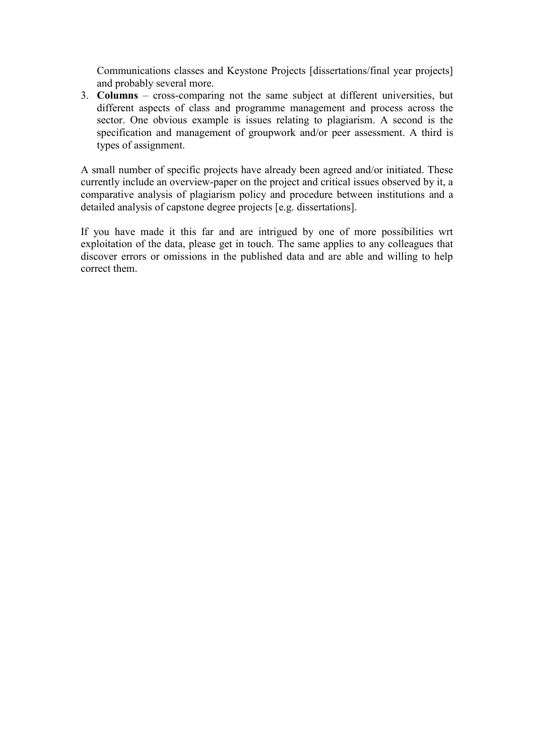Communications classes and Keystone Projects [dissertations/final year projects] and probably several more.

3. **Columns** – cross-comparing not the same subject at different universities, but different aspects of class and programme management and process across the sector. One obvious example is issues relating to plagiarism. A second is the specification and management of groupwork and/or peer assessment. A third is types of assignment.

A small number of specific projects have already been agreed and/or initiated. These currently include an overview-paper on the project and critical issues observed by it, a comparative analysis of plagiarism policy and procedure between institutions and a detailed analysis of capstone degree projects [e.g. dissertations].

If you have made it this far and are intrigued by one of more possibilities wrt exploitation of the data, please get in touch. The same applies to any colleagues that discover errors or omissions in the published data and are able and willing to help correct them.